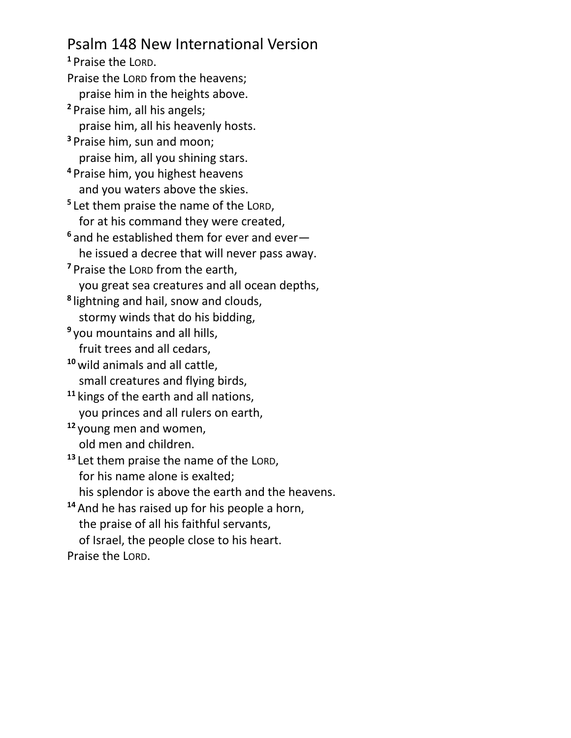## Psalm 148 New International Version

**<sup>1</sup>** Praise the LORD. Praise the LORD from the heavens; praise him in the heights above. **<sup>2</sup>** Praise him, all his angels; praise him, all his heavenly hosts. **<sup>3</sup>** Praise him, sun and moon; praise him, all you shining stars. **<sup>4</sup>** Praise him, you highest heavens and you waters above the skies. **5** Let them praise the name of the LORD, for at his command they were created, **<sup>6</sup>** and he established them for ever and ever he issued a decree that will never pass away. **<sup>7</sup>** Praise the LORD from the earth, you great sea creatures and all ocean depths, **8** lightning and hail, snow and clouds, stormy winds that do his bidding, **9** you mountains and all hills, fruit trees and all cedars, **<sup>10</sup>** wild animals and all cattle, small creatures and flying birds, **<sup>11</sup>** kings of the earth and all nations, you princes and all rulers on earth, **<sup>12</sup>** young men and women, old men and children. **<sup>13</sup>** Let them praise the name of the LORD, for his name alone is exalted; his splendor is above the earth and the heavens. **<sup>14</sup>** And he has raised up for his people a horn, the praise of all his faithful servants, of Israel, the people close to his heart.

Praise the LORD.